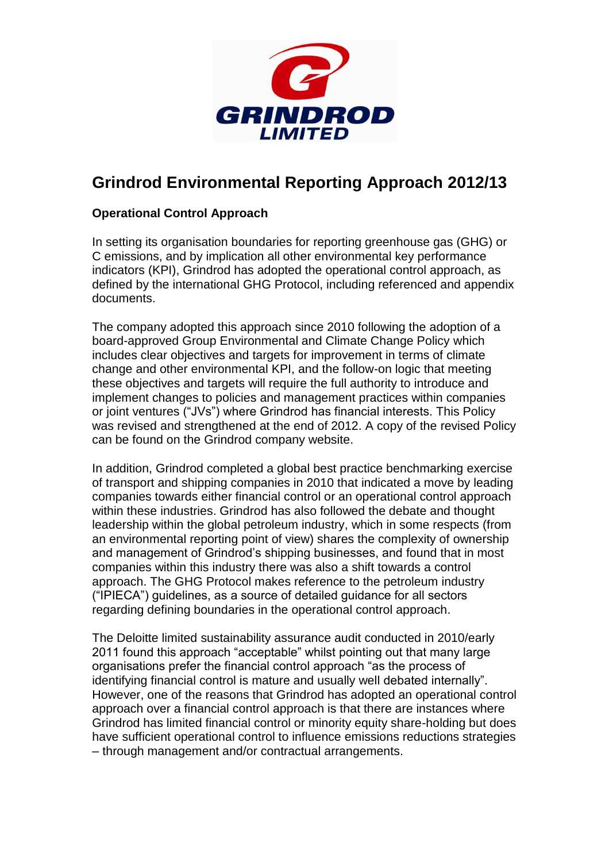

## **Grindrod Environmental Reporting Approach 2012/13**

## **Operational Control Approach**

In setting its organisation boundaries for reporting greenhouse gas (GHG) or C emissions, and by implication all other environmental key performance indicators (KPI), Grindrod has adopted the operational control approach, as defined by the international GHG Protocol, including referenced and appendix documents.

The company adopted this approach since 2010 following the adoption of a board-approved Group Environmental and Climate Change Policy which includes clear objectives and targets for improvement in terms of climate change and other environmental KPI, and the follow-on logic that meeting these objectives and targets will require the full authority to introduce and implement changes to policies and management practices within companies or joint ventures ("JVs") where Grindrod has financial interests. This Policy was revised and strengthened at the end of 2012. A copy of the revised Policy can be found on the Grindrod company website.

In addition, Grindrod completed a global best practice benchmarking exercise of transport and shipping companies in 2010 that indicated a move by leading companies towards either financial control or an operational control approach within these industries. Grindrod has also followed the debate and thought leadership within the global petroleum industry, which in some respects (from an environmental reporting point of view) shares the complexity of ownership and management of Grindrod's shipping businesses, and found that in most companies within this industry there was also a shift towards a control approach. The GHG Protocol makes reference to the petroleum industry ("IPIECA") guidelines, as a source of detailed guidance for all sectors regarding defining boundaries in the operational control approach.

The Deloitte limited sustainability assurance audit conducted in 2010/early 2011 found this approach "acceptable" whilst pointing out that many large organisations prefer the financial control approach "as the process of identifying financial control is mature and usually well debated internally". However, one of the reasons that Grindrod has adopted an operational control approach over a financial control approach is that there are instances where Grindrod has limited financial control or minority equity share-holding but does have sufficient operational control to influence emissions reductions strategies – through management and/or contractual arrangements.